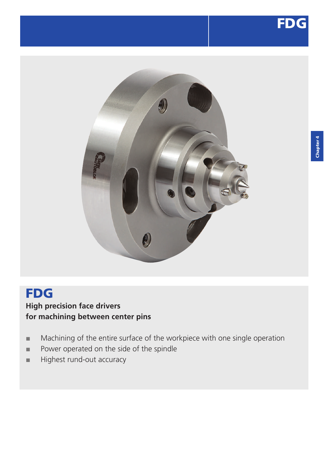



# FDG **High precision face drivers for machining between center pins**

- Machining of the entire surface of the workpiece with one single operation
- **■** Power operated on the side of the spindle
- **■** Highest rund-out accuracy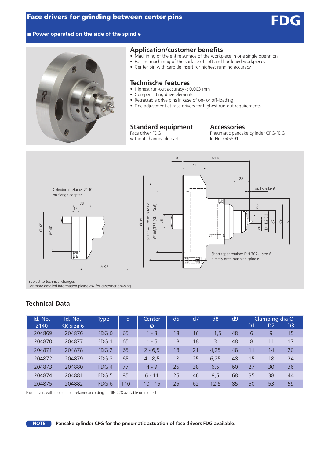

### ■ **Power operated on the side of the spindle**



#### **Application/customer benefits**

- Machining of the entire surface of the workpiece in one single operation
- For the machining of the surface of soft and hardened workpieces
- Center pin with carbide insert for highest running accuracy

## **Technische features**

- Highest run-out accuracy < 0.003 mm
- Compensating drive elements
- Retractable drive pins in case of on- or off-loading
- Fine adjustment at face drivers for highest run-out requirements

# **Standard equipment Accessories**<br>Face driver FDG **Proportional Accessories**

without changeable parts

Pneumatic pancake cylinder CPG-FDG<br>Id.No. 045891



Subject to technical changes.

For more detailed information please ask for customer drawing.

## **Technical Data**

| Id.-No. | Id.-No.   | <b>Type</b>        | d   | <b>Center</b> | d <sub>5</sub> | d7 | d <sub>8</sub> | d9 | Clamping dia Ø |                |                |
|---------|-----------|--------------------|-----|---------------|----------------|----|----------------|----|----------------|----------------|----------------|
| Z140    | KK size 6 |                    |     | Ø             |                |    |                |    | D <sub>1</sub> | D <sub>2</sub> | D <sub>3</sub> |
| 204869  | 204876    | $FDG$ <sub>0</sub> | 65  | $1 - 3$       | 18             | 16 | 1,5            | 48 | 6              | 9              | 15             |
| 204870  | 204877    | FDG 1              | 65  | $1 - 5$       | 18             | 18 | 3              | 48 | 8              | 11             | 17             |
| 204871  | 204878    | FDG <sub>2</sub>   | 65  | $2 - 6,5$     | 18             | 21 | 4,25           | 48 | 11             | 14             | 20             |
| 204872  | 204879    | FDG <sub>3</sub>   | 65  | $4 - 8.5$     | 18             | 25 | 6,25           | 48 | 15             | 18             | 24             |
| 204873  | 204880    | FDG4               | 77  | $4 - 9$       | 25             | 38 | 6,5            | 60 | 27             | 30             | 36             |
| 204874  | 204881    | FDG <sub>5</sub>   | 85  | $6 - 11$      | 25             | 46 | 8,5            | 68 | 35             | 38             | 44             |
| 204875  | 204882    | FDG 6              | 110 | $10 - 15$     | 25             | 62 | 12,5           | 85 | 50             | 53             | 59             |

Face drivers with morse taper retainer according to DIN 228 available on request.